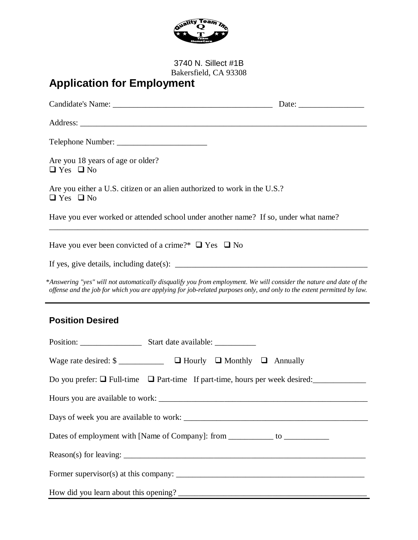

3740 N. Sillect #1B Bakersfield, CA 93308

# **Application for Employment**

| Are you 18 years of age or older?<br>$\Box$ Yes $\Box$ No                              |                                                                                                                                                                                                                                               |  |  |  |
|----------------------------------------------------------------------------------------|-----------------------------------------------------------------------------------------------------------------------------------------------------------------------------------------------------------------------------------------------|--|--|--|
| $\Box$ Yes $\Box$ No                                                                   | Are you either a U.S. citizen or an alien authorized to work in the U.S.?                                                                                                                                                                     |  |  |  |
|                                                                                        | Have you ever worked or attended school under another name? If so, under what name?                                                                                                                                                           |  |  |  |
|                                                                                        | Have you ever been convicted of a crime?* $\Box$ Yes $\Box$ No                                                                                                                                                                                |  |  |  |
|                                                                                        |                                                                                                                                                                                                                                               |  |  |  |
|                                                                                        | *Answering "yes" will not automatically disqualify you from employment. We will consider the nature and date of the<br>offense and the job for which you are applying for job-related purposes only, and only to the extent permitted by law. |  |  |  |
| <b>Position Desired</b>                                                                |                                                                                                                                                                                                                                               |  |  |  |
|                                                                                        |                                                                                                                                                                                                                                               |  |  |  |
|                                                                                        |                                                                                                                                                                                                                                               |  |  |  |
| Do you prefer: $\Box$ Full-time $\Box$ Part-time If part-time, hours per week desired: |                                                                                                                                                                                                                                               |  |  |  |
|                                                                                        |                                                                                                                                                                                                                                               |  |  |  |
|                                                                                        |                                                                                                                                                                                                                                               |  |  |  |
|                                                                                        | Dates of employment with [Name of Company]: from __________ to _________________                                                                                                                                                              |  |  |  |
|                                                                                        |                                                                                                                                                                                                                                               |  |  |  |
|                                                                                        |                                                                                                                                                                                                                                               |  |  |  |
|                                                                                        |                                                                                                                                                                                                                                               |  |  |  |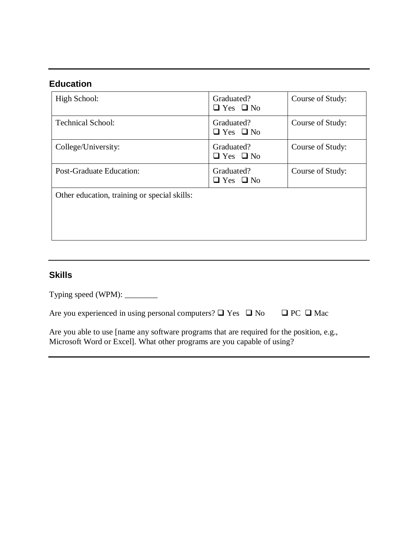## **Education**

| High School:                                 | Graduated?<br>$\Box$ Yes $\Box$ No | Course of Study: |
|----------------------------------------------|------------------------------------|------------------|
| <b>Technical School:</b>                     | Graduated?<br>$\Box$ Yes $\Box$ No | Course of Study: |
| College/University:                          | Graduated?<br>$\Box$ Yes $\Box$ No | Course of Study: |
| <b>Post-Graduate Education:</b>              | Graduated?<br>$\Box$ Yes $\Box$ No | Course of Study: |
| Other education, training or special skills: |                                    |                  |

### **Skills**

Typing speed (WPM): \_\_\_\_\_\_\_\_

|  |  | Are you experienced in using personal computers? $\Box$ Yes $\Box$ No |  |  |  | $\Box$ PC $\Box$ Mac |
|--|--|-----------------------------------------------------------------------|--|--|--|----------------------|
|--|--|-----------------------------------------------------------------------|--|--|--|----------------------|

Are you able to use [name any software programs that are required for the position, e.g., Microsoft Word or Excel]. What other programs are you capable of using?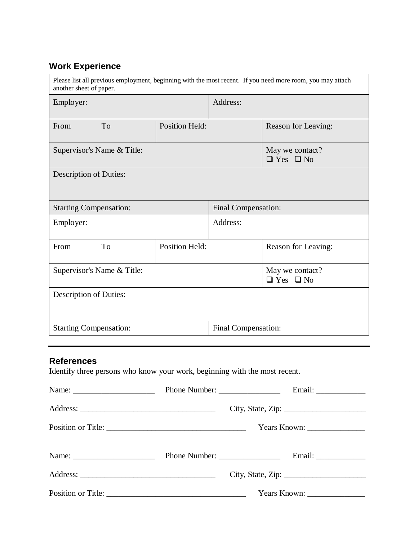# **Work Experience**

| Please list all previous employment, beginning with the most recent. If you need more room, you may attach<br>another sheet of paper. |                       |                     |                                         |  |
|---------------------------------------------------------------------------------------------------------------------------------------|-----------------------|---------------------|-----------------------------------------|--|
| Employer:                                                                                                                             |                       | Address:            |                                         |  |
| <b>To</b><br>From                                                                                                                     | <b>Position Held:</b> |                     | Reason for Leaving:                     |  |
| Supervisor's Name & Title:                                                                                                            |                       |                     | May we contact?<br>$\Box$ Yes $\Box$ No |  |
| Description of Duties:                                                                                                                |                       |                     |                                         |  |
| <b>Starting Compensation:</b>                                                                                                         |                       | Final Compensation: |                                         |  |
| Employer:                                                                                                                             |                       | Address:            |                                         |  |
| From<br>T <sub>o</sub>                                                                                                                | Position Held:        |                     | Reason for Leaving:                     |  |
| Supervisor's Name & Title:                                                                                                            |                       |                     | May we contact?<br>$\Box$ Yes $\Box$ No |  |
| Description of Duties:                                                                                                                |                       |                     |                                         |  |
| <b>Starting Compensation:</b>                                                                                                         |                       | Final Compensation: |                                         |  |

### **References**

Identify three persons who know your work, beginning with the most recent.

|  | City, State, Zip:                                               |
|--|-----------------------------------------------------------------|
|  |                                                                 |
|  |                                                                 |
|  |                                                                 |
|  | Years Known: $\frac{1}{\sqrt{1-\frac{1}{2}} \cdot \frac{1}{2}}$ |